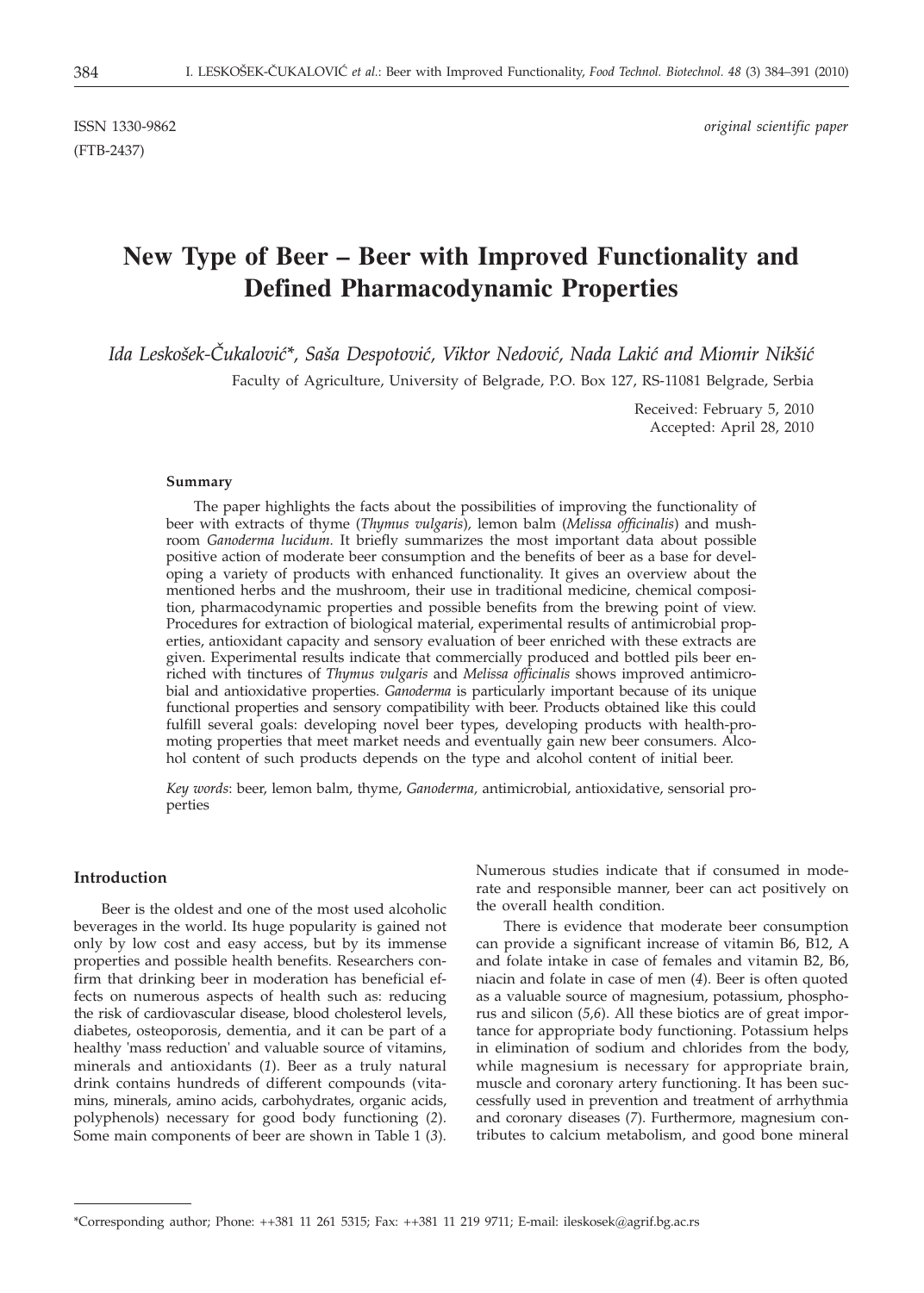(FTB-2437)

ISSN 1330-9862 *original scientific paper*

# **New Type of Beer – Beer with Improved Functionality and Defined Pharmacodynamic Properties**

Ida Leskošek-Čukalović\*, Saša Despotović, Viktor Nedović, Nada Lakić and Miomir Nikšić

Faculty of Agriculture, University of Belgrade, P.O. Box 127, RS-11081 Belgrade, Serbia

Received: February 5, 2010 Accepted: April 28, 2010

#### **Summary**

The paper highlights the facts about the possibilities of improving the functionality of beer with extracts of thyme (*Thymus vulgaris*)*,* lemon balm (*Melissa officinalis*) and mushroom *Ganoderma lucidum*. It briefly summarizes the most important data about possible positive action of moderate beer consumption and the benefits of beer as a base for developing a variety of products with enhanced functionality. It gives an overview about the mentioned herbs and the mushroom, their use in traditional medicine, chemical composition, pharmacodynamic properties and possible benefits from the brewing point of view. Procedures for extraction of biological material, experimental results of antimicrobial properties, antioxidant capacity and sensory evaluation of beer enriched with these extracts are given. Experimental results indicate that commercially produced and bottled pils beer enriched with tinctures of *Thymus vulgaris* and *Melissa officinalis* shows improved antimicrobial and antioxidative properties. *Ganoderma* is particularly important because of its unique functional properties and sensory compatibility with beer. Products obtained like this could fulfill several goals: developing novel beer types, developing products with health-promoting properties that meet market needs and eventually gain new beer consumers. Alcohol content of such products depends on the type and alcohol content of initial beer.

*Key words*: beer, lemon balm, thyme, *Ganoderma,* antimicrobial, antioxidative, sensorial properties

## **Introduction**

Beer is the oldest and one of the most used alcoholic beverages in the world. Its huge popularity is gained not only by low cost and easy access, but by its immense properties and possible health benefits. Researchers confirm that drinking beer in moderation has beneficial effects on numerous aspects of health such as: reducing the risk of cardiovascular disease, blood cholesterol levels, diabetes, osteoporosis, dementia, and it can be part of a healthy 'mass reduction' and valuable source of vitamins, minerals and antioxidants (*1*). Beer as a truly natural drink contains hundreds of different compounds (vitamins, minerals, amino acids, carbohydrates, organic acids, polyphenols) necessary for good body functioning (*2*). Some main components of beer are shown in Table 1 (*3*). Numerous studies indicate that if consumed in moderate and responsible manner, beer can act positively on the overall health condition.

There is evidence that moderate beer consumption can provide a significant increase of vitamin B6, B12, A and folate intake in case of females and vitamin B2, B6, niacin and folate in case of men (*4*). Beer is often quoted as a valuable source of magnesium, potassium, phosphorus and silicon (*5,6*). All these biotics are of great importance for appropriate body functioning. Potassium helps in elimination of sodium and chlorides from the body, while magnesium is necessary for appropriate brain, muscle and coronary artery functioning. It has been successfully used in prevention and treatment of arrhythmia and coronary diseases (*7*). Furthermore, magnesium contributes to calcium metabolism, and good bone mineral

<sup>\*</sup>Corresponding author; Phone: ++381 11 261 5315; Fax: ++381 11 219 9711; E-mail: ileskosek@agrif.bg.ac.rs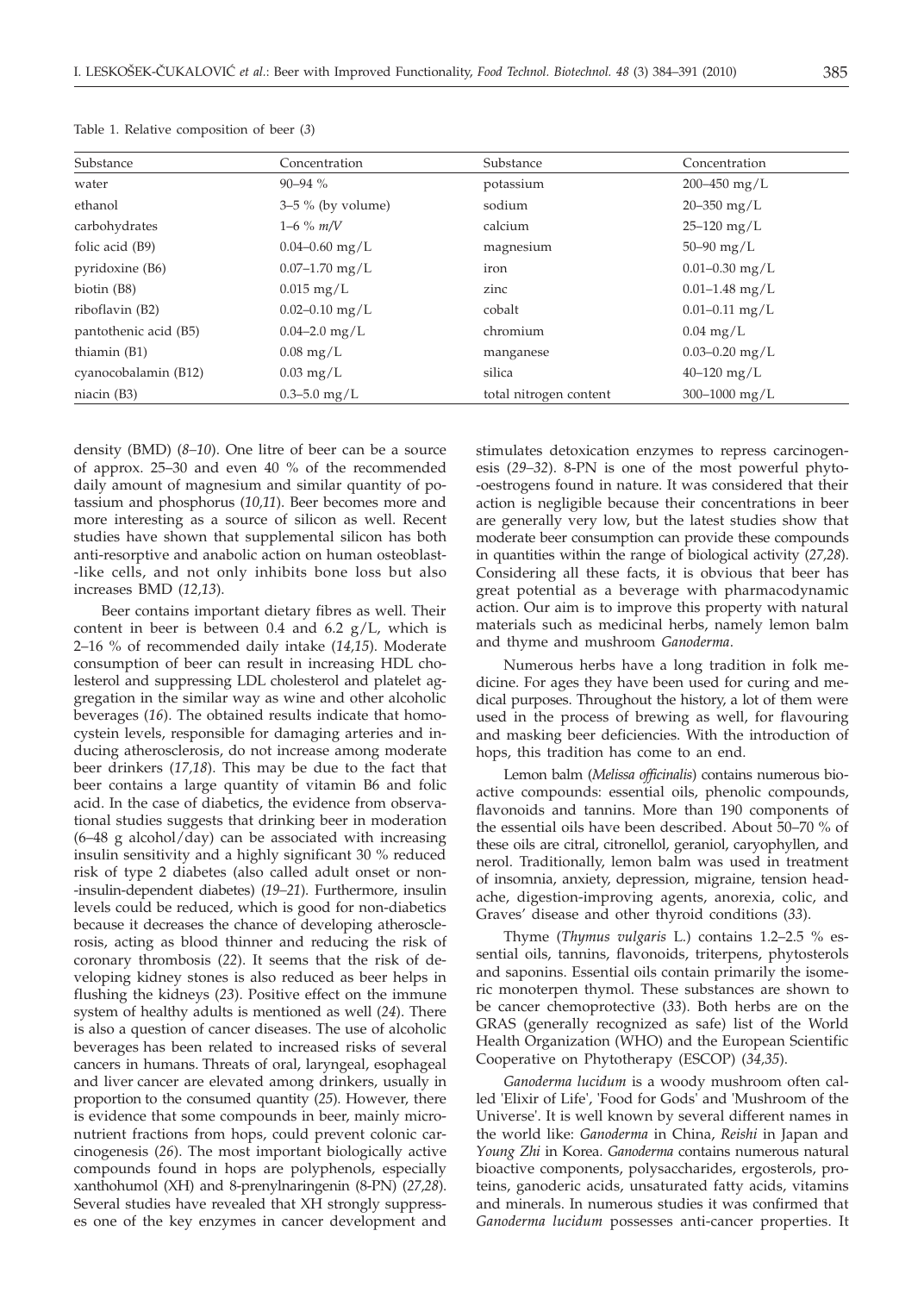| Substance             | Concentration           | Substance              | Concentration       |
|-----------------------|-------------------------|------------------------|---------------------|
| water                 | $90 - 94 \%$            | potassium              | 200-450 mg/L        |
| ethanol               | $3-5$ % (by volume)     | sodium                 | $20 - 350$ mg/L     |
| carbohydrates         | $1-6\%$ m/V             | calcium                | $25 - 120$ mg/L     |
| folic acid (B9)       | $0.04 - 0.60$ mg/L      | magnesium              | $50 - 90$ mg/L      |
| pyridoxine (B6)       | $0.07 - 1.70$ mg/L      | iron                   | $0.01 - 0.30$ mg/L  |
| biotin (B8)           | $0.015 \,\mathrm{mg/L}$ | zinc                   | $0.01 - 1.48$ mg/L  |
| riboflavin (B2)       | $0.02 - 0.10$ mg/L      | cobalt                 | $0.01 - 0.11$ mg/L  |
| pantothenic acid (B5) | $0.04 - 2.0$ mg/L       | chromium               | $0.04 \text{ mg/L}$ |
| thiamin (B1)          | $0.08$ mg/L             | manganese              | $0.03 - 0.20$ mg/L  |
| cyanocobalamin (B12)  | $0.03 \text{ mg/L}$     | silica                 | $40 - 120$ mg/L     |
| niacin (B3)           | $0.3 - 5.0$ mg/L        | total nitrogen content | 300-1000 mg/L       |

|  |  | Table 1. Relative composition of beer (3) |  |  |  |  |
|--|--|-------------------------------------------|--|--|--|--|
|--|--|-------------------------------------------|--|--|--|--|

density (BMD) (*8–10*). One litre of beer can be a source of approx. 25–30 and even 40 % of the recommended daily amount of magnesium and similar quantity of potassium and phosphorus (*10,11*). Beer becomes more and more interesting as a source of silicon as well. Recent studies have shown that supplemental silicon has both anti-resorptive and anabolic action on human osteoblast- -like cells, and not only inhibits bone loss but also increases BMD (*12,13*).

Beer contains important dietary fibres as well. Their content in beer is between 0.4 and 6.2  $g/L$ , which is 2–16 % of recommended daily intake (*14,15*). Moderate consumption of beer can result in increasing HDL cholesterol and suppressing LDL cholesterol and platelet aggregation in the similar way as wine and other alcoholic beverages (*16*). The obtained results indicate that homocystein levels, responsible for damaging arteries and inducing atherosclerosis, do not increase among moderate beer drinkers (*17,18*). This may be due to the fact that beer contains a large quantity of vitamin B6 and folic acid. In the case of diabetics, the evidence from observational studies suggests that drinking beer in moderation  $(6-48 \text{ g alcohol/day})$  can be associated with increasing insulin sensitivity and a highly significant 30 % reduced risk of type 2 diabetes (also called adult onset or non- -insulin-dependent diabetes) (*19–21*). Furthermore, insulin levels could be reduced, which is good for non-diabetics because it decreases the chance of developing atherosclerosis, acting as blood thinner and reducing the risk of coronary thrombosis (*22*). It seems that the risk of developing kidney stones is also reduced as beer helps in flushing the kidneys (*23*). Positive effect on the immune system of healthy adults is mentioned as well (*24*). There is also a question of cancer diseases. The use of alcoholic beverages has been related to increased risks of several cancers in humans. Threats of oral, laryngeal, esophageal and liver cancer are elevated among drinkers, usually in proportion to the consumed quantity (*25*). However, there is evidence that some compounds in beer, mainly micronutrient fractions from hops, could prevent colonic carcinogenesis (*26*). The most important biologically active compounds found in hops are polyphenols, especially xanthohumol (XH) and 8-prenylnaringenin (8-PN) (*27,28*). Several studies have revealed that XH strongly suppresses one of the key enzymes in cancer development and stimulates detoxication enzymes to repress carcinogenesis (*29–32*). 8-PN is one of the most powerful phyto- -oestrogens found in nature. It was considered that their action is negligible because their concentrations in beer are generally very low, but the latest studies show that moderate beer consumption can provide these compounds in quantities within the range of biological activity (*27,28*). Considering all these facts, it is obvious that beer has great potential as a beverage with pharmacodynamic action. Our aim is to improve this property with natural materials such as medicinal herbs, namely lemon balm and thyme and mushroom *Ganoderma*.

Numerous herbs have a long tradition in folk medicine. For ages they have been used for curing and medical purposes. Throughout the history, a lot of them were used in the process of brewing as well, for flavouring and masking beer deficiencies. With the introduction of hops, this tradition has come to an end.

Lemon balm (*Melissa officinalis*) contains numerous bioactive compounds: essential oils, phenolic compounds, flavonoids and tannins. More than 190 components of the essential oils have been described. About 50–70 % of these oils are citral, citronellol, geraniol, caryophyllen, and nerol. Traditionally, lemon balm was used in treatment of insomnia, anxiety, depression, migraine, tension headache, digestion-improving agents, anorexia, colic, and Graves' disease and other thyroid conditions (*33*).

Thyme (*Thymus vulgaris* L.) contains 1.2–2.5 % essential oils, tannins, flavonoids, triterpens, phytosterols and saponins. Essential oils contain primarily the isomeric monoterpen thymol. These substances are shown to be cancer chemoprotective (*33*). Both herbs are on the GRAS (generally recognized as safe) list of the World Health Organization (WHO) and the European Scientific Cooperative on Phytotherapy (ESCOP) (*34,35*).

*Ganoderma lucidum* is a woody mushroom often called 'Elixir of Life', 'Food for Gods' and 'Mushroom of the Universe'. It is well known by several different names in the world like: *Ganoderma* in China, *Reishi* in Japan and *Young Zhi* in Korea. *Ganoderma* contains numerous natural bioactive components, polysaccharides, ergosterols, proteins, ganoderic acids, unsaturated fatty acids, vitamins and minerals. In numerous studies it was confirmed that *Ganoderma lucidum* possesses anti-cancer properties. It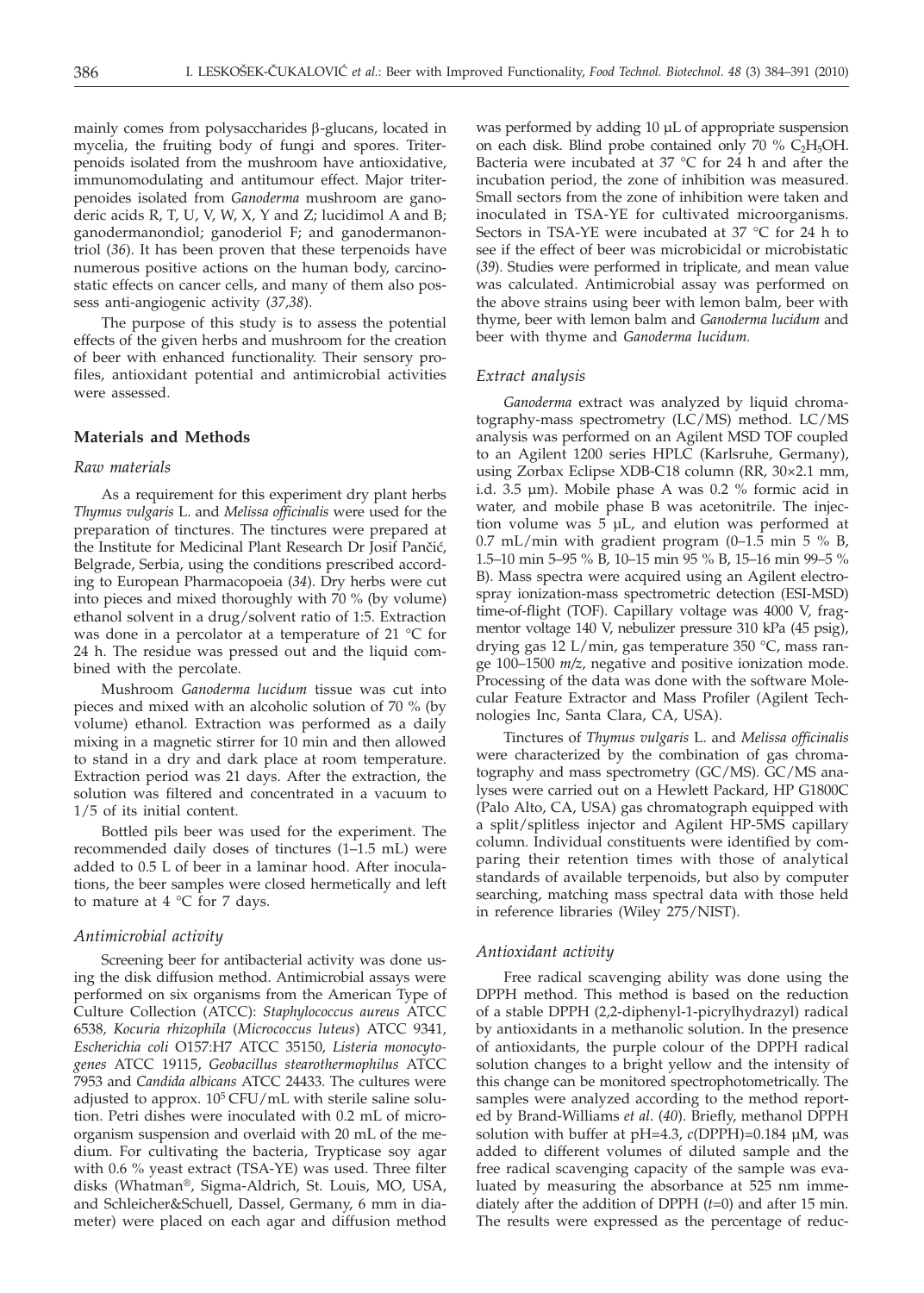mainly comes from polysaccharides  $\beta$ -glucans, located in mycelia, the fruiting body of fungi and spores. Triterpenoids isolated from the mushroom have antioxidative, immunomodulating and antitumour effect. Major triterpenoides isolated from *Ganoderma* mushroom are ganoderic acids R, T, U, V, W, X, Y and Z; lucidimol A and B; ganodermanondiol; ganoderiol F; and ganodermanontriol (*36*). It has been proven that these terpenoids have numerous positive actions on the human body, carcinostatic effects on cancer cells, and many of them also possess anti-angiogenic activity (*37,38*).

The purpose of this study is to assess the potential effects of the given herbs and mushroom for the creation of beer with enhanced functionality. Their sensory profiles, antioxidant potential and antimicrobial activities were assessed.

# **Materials and Methods**

#### *Raw materials*

As a requirement for this experiment dry plant herbs *Thymus vulgaris* L. and *Melissa officinalis* were used for the preparation of tinctures. The tinctures were prepared at the Institute for Medicinal Plant Research Dr Josif Pančić, Belgrade, Serbia, using the conditions prescribed according to European Pharmacopoeia (*34*). Dry herbs were cut into pieces and mixed thoroughly with 70 % (by volume) ethanol solvent in a drug/solvent ratio of 1:5. Extraction was done in a percolator at a temperature of 21 °C for 24 h. The residue was pressed out and the liquid combined with the percolate.

Mushroom *Ganoderma lucidum* tissue was cut into pieces and mixed with an alcoholic solution of 70 % (by volume) ethanol. Extraction was performed as a daily mixing in a magnetic stirrer for 10 min and then allowed to stand in a dry and dark place at room temperature. Extraction period was 21 days. After the extraction, the solution was filtered and concentrated in a vacuum to 1/5 of its initial content.

Bottled pils beer was used for the experiment. The recommended daily doses of tinctures (1–1.5 mL) were added to 0.5 L of beer in a laminar hood. After inoculations, the beer samples were closed hermetically and left to mature at  $4 \degree C$  for 7 days.

#### *Antimicrobial activity*

Screening beer for antibacterial activity was done using the disk diffusion method. Antimicrobial assays were performed on six organisms from the American Type of Culture Collection (ATCC): *Staphylococcus aureus* ATCC 6538*, Kocuria rhizophila* (*Micrococcus luteus*) ATCC 9341*, Escherichia coli* O157:H7 ATCC 35150*, Listeria monocytogenes* ATCC 19115, *Geobacillus stearothermophilus* ATCC 7953 and *Candida albicans* ATCC 24433. The cultures were adjusted to approx.  $10^5$  CFU/mL with sterile saline solution. Petri dishes were inoculated with 0.2 mL of microorganism suspension and overlaid with 20 mL of the medium. For cultivating the bacteria, Trypticase soy agar with 0.6 % yeast extract (TSA-YE) was used. Three filter disks (Whatman®, Sigma-Aldrich, St. Louis, MO, USA, and Schleicher&Schuell, Dassel, Germany, 6 mm in diameter) were placed on each agar and diffusion method

was performed by adding 10 µL of appropriate suspension on each disk. Blind probe contained only  $70\%$  C<sub>2</sub>H<sub>5</sub>OH. Bacteria were incubated at 37 °C for 24 h and after the incubation period, the zone of inhibition was measured. Small sectors from the zone of inhibition were taken and inoculated in TSA-YE for cultivated microorganisms. Sectors in TSA-YE were incubated at 37 °C for 24 h to see if the effect of beer was microbicidal or microbistatic (*39*). Studies were performed in triplicate, and mean value was calculated. Antimicrobial assay was performed on the above strains using beer with lemon balm, beer with thyme, beer with lemon balm and *Ganoderma lucidum* and beer with thyme and *Ganoderma lucidum.*

#### *Extract analysis*

*Ganoderma* extract was analyzed by liquid chromatography-mass spectrometry (LC/MS) method. LC/MS analysis was performed on an Agilent MSD TOF coupled to an Agilent 1200 series HPLC (Karlsruhe, Germany), using Zorbax Eclipse XDB-C18 column (RR, 30×2.1 mm, i.d. 3.5 µm). Mobile phase A was 0.2 % formic acid in water, and mobile phase B was acetonitrile. The injection volume was 5 µL, and elution was performed at  $0.7$  mL/min with gradient program  $(0-1.5 \text{ min } 5 \% B,$ 1.5–10 min 5–95 % B, 10–15 min 95 % B, 15–16 min 99–5 % B). Mass spectra were acquired using an Agilent electrospray ionization-mass spectrometric detection (ESI-MSD) time-of-flight (TOF). Capillary voltage was 4000 V, fragmentor voltage 140 V, nebulizer pressure 310 kPa (45 psig), drying gas 12 L/min, gas temperature 350 °C, mass range 100–1500 *m/z*, negative and positive ionization mode. Processing of the data was done with the software Molecular Feature Extractor and Mass Profiler (Agilent Technologies Inc, Santa Clara, CA, USA).

Tinctures of *Thymus vulgaris* L. and *Melissa officinalis* were characterized by the combination of gas chromatography and mass spectrometry (GC/MS). GC/MS analyses were carried out on a Hewlett Packard, HP G1800C (Palo Alto, CA, USA) gas chromatograph equipped with a split/splitless injector and Agilent HP-5MS capillary column. Individual constituents were identified by comparing their retention times with those of analytical standards of available terpenoids, but also by computer searching, matching mass spectral data with those held in reference libraries (Wiley 275/NIST).

#### *Antioxidant activity*

Free radical scavenging ability was done using the DPPH method. This method is based on the reduction of a stable DPPH (2,2-diphenyl-1-picrylhydrazyl) radical by antioxidants in a methanolic solution. In the presence of antioxidants, the purple colour of the DPPH radical solution changes to a bright yellow and the intensity of this change can be monitored spectrophotometrically. The samples were analyzed according to the method reported by Brand-Williams *et al*. (*40*). Briefly, methanol DPPH solution with buffer at pH=4.3, *c*(DPPH)=0.184 µM, was added to different volumes of diluted sample and the free radical scavenging capacity of the sample was evaluated by measuring the absorbance at 525 nm immediately after the addition of DPPH (*t*=0) and after 15 min. The results were expressed as the percentage of reduc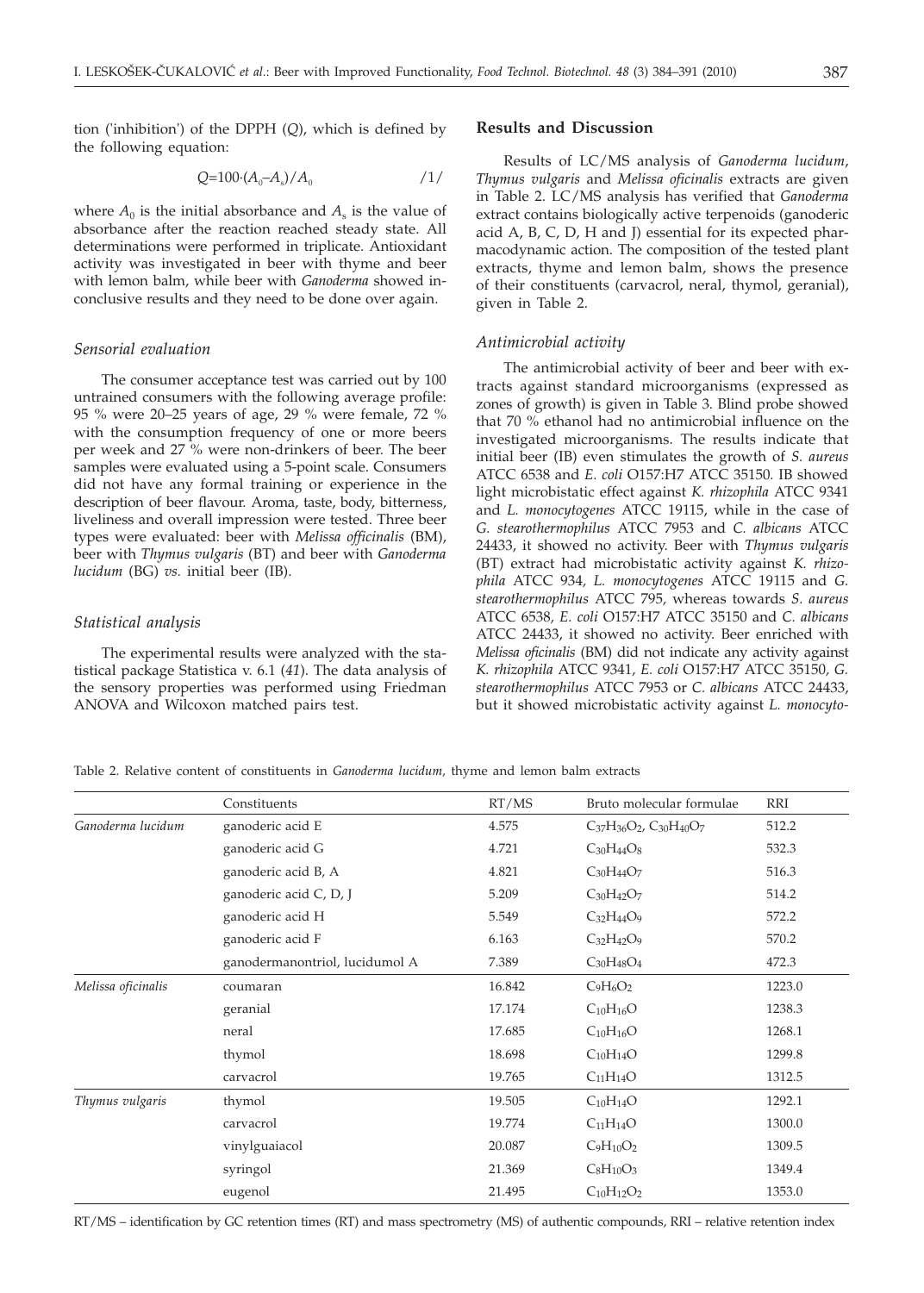tion ('inhibition') of the DPPH (*Q*), which is defined by the following equation:

$$
Q=100 \cdot (A_0 - A_s) / A_0 \tag{1}
$$

where  $A_0$  is the initial absorbance and  $A_s$  is the value of absorbance after the reaction reached steady state. All determinations were performed in triplicate. Antioxidant activity was investigated in beer with thyme and beer with lemon balm, while beer with *Ganoderma* showed inconclusive results and they need to be done over again.

## *Sensorial evaluation*

The consumer acceptance test was carried out by 100 untrained consumers with the following average profile: 95 % were 20–25 years of age, 29 % were female, 72 % with the consumption frequency of one or more beers per week and 27 % were non-drinkers of beer. The beer samples were evaluated using a 5-point scale. Consumers did not have any formal training or experience in the description of beer flavour. Aroma, taste, body, bitterness, liveliness and overall impression were tested. Three beer types were evaluated: beer with *Melissa officinalis* (BM), beer with *Thymus vulgaris* (BT) and beer with *Ganoderma lucidum* (BG) *vs.* initial beer (IB).

## *Statistical analysis*

The experimental results were analyzed with the statistical package Statistica v. 6.1 (*41*). The data analysis of the sensory properties was performed using Friedman ANOVA and Wilcoxon matched pairs test.

## **Results and Discussion**

Results of LC/MS analysis of *Ganoderma lucidum*, *Thymus vulgaris* and *Melissa oficinalis* extracts are given in Table 2. LC/MS analysis has verified that *Ganoderma* extract contains biologically active terpenoids (ganoderic acid A, B, C, D, H and J) essential for its expected pharmacodynamic action. The composition of the tested plant extracts, thyme and lemon balm, shows the presence of their constituents (carvacrol, neral, thymol, geranial), given in Table 2.

#### *Antimicrobial activity*

The antimicrobial activity of beer and beer with extracts against standard microorganisms (expressed as zones of growth) is given in Table 3. Blind probe showed that 70 % ethanol had no antimicrobial influence on the investigated microorganisms. The results indicate that initial beer (IB) even stimulates the growth of *S. aureus* ATCC 6538 and *E. coli* O157:H7 ATCC 35150*.* IB showed light microbistatic effect against *K. rhizophila* ATCC 9341 and *L. monocytogenes* ATCC 19115, while in the case of *G. stearothermophilus* ATCC 7953 and *C. albicans* ATCC 24433, it showed no activity. Beer with *Thymus vulgaris* (BT) extract had microbistatic activity against *K. rhizophila* ATCC 934*, L. monocytogenes* ATCC 19115 and *G. stearothermophilus* ATCC 795*,* whereas towards *S. aureus* ATCC 6538*, E. coli* O157:H7 ATCC 35150 and *C. albicans* ATCC 24433, it showed no activity. Beer enriched with *Melissa oficinalis* (BM) did not indicate any activity against *K. rhizophila* ATCC 9341*, E. coli* O157:H7 ATCC 35150*, G. stearothermophilus* ATCC 7953 or *C. albicans* ATCC 24433, but it showed microbistatic activity against *L. monocyto-*

Table 2. Relative content of constituents in *Ganoderma lucidum,* thyme and lemon balm extracts

|                    | Constituents                   | RT/MS  | Bruto molecular formulae              | RRI    |
|--------------------|--------------------------------|--------|---------------------------------------|--------|
| Ganoderma lucidum  | ganoderic acid E               | 4.575  | $C_{37}H_{36}O_2$ , $C_{30}H_{40}O_7$ | 512.2  |
|                    | ganoderic acid G               | 4.721  | $C_{30}H_{44}O_8$                     | 532.3  |
|                    | ganoderic acid B, A            | 4.821  | $C_{30}H_{44}O_7$                     | 516.3  |
|                    | ganoderic acid C, D, J         | 5.209  | $C_{30}H_{42}O_7$                     | 514.2  |
|                    | ganoderic acid H               | 5.549  | $C_{32}H_{44}O_9$                     | 572.2  |
|                    | ganoderic acid F               | 6.163  | $C_{32}H_{42}O_9$                     | 570.2  |
|                    | ganodermanontriol, lucidumol A | 7.389  | $C_{30}H_{48}O_4$                     | 472.3  |
| Melissa oficinalis | coumaran                       | 16.842 | $C_9H_6O_2$                           | 1223.0 |
|                    | geranial                       | 17.174 | $C_{10}H_{16}O$                       | 1238.3 |
|                    | neral                          | 17.685 | $C_{10}H_{16}O$                       | 1268.1 |
|                    | thymol                         | 18.698 | $C_{10}H_{14}O$                       | 1299.8 |
|                    | carvacrol                      | 19.765 | $C_{11}H_{14}O$                       | 1312.5 |
| Thymus vulgaris    | thymol                         | 19.505 | $C_{10}H_{14}O$                       | 1292.1 |
|                    | carvacrol                      | 19.774 | $C_{11}H_{14}O$                       | 1300.0 |
|                    | vinylguaiacol                  | 20.087 | $C_9H_{10}O_2$                        | 1309.5 |
|                    | syringol                       | 21.369 | $C_8H_{10}O_3$                        | 1349.4 |
|                    | eugenol                        | 21.495 | $C_{10}H_{12}O_2$                     | 1353.0 |

RT/MS – identification by GC retention times (RT) and mass spectrometry (MS) of authentic compounds, RRI – relative retention index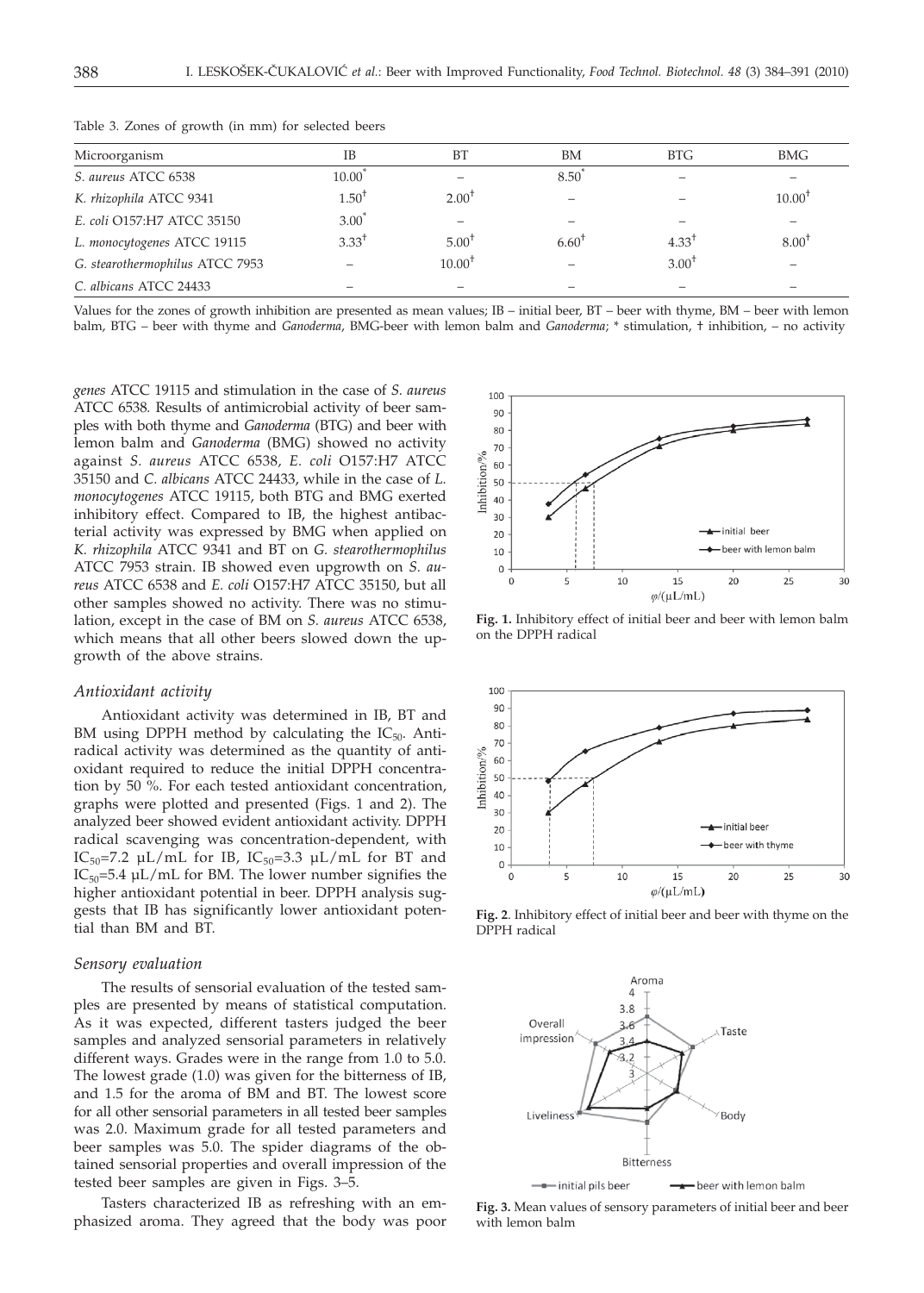| Microorganism                   | IB                | BT                | BM             | <b>BTG</b> | BMG         |
|---------------------------------|-------------------|-------------------|----------------|------------|-------------|
| S. aureus ATCC 6538             | $10.00^{\degree}$ |                   | 8.50           |            |             |
| K. rhizophila ATCC 9341         | $1.50^+$          | $2.00^{\text{T}}$ |                |            | $10.00^{1}$ |
| E. coli O157:H7 ATCC 35150      | $3.00*$           |                   |                |            |             |
| L. monocytogenes ATCC 19115     | $3.33^+$          | $5.00^{\text{T}}$ | $6.60^{\circ}$ | $4.33^{1}$ | $8.00^{+}$  |
| G. stearothermophilus ATCC 7953 |                   | $10.00^+$         |                | $3.00^+$   |             |
| C. albicans ATCC 24433          |                   |                   |                |            |             |

Table 3. Zones of growth (in mm) for selected beers

Values for the zones of growth inhibition are presented as mean values; IB – initial beer, BT – beer with thyme, BM – beer with lemon balm, BTG – beer with thyme and *Ganoderma*, BMG-beer with lemon balm and *Ganoderma*; \* stimulation, † inhibition, – no activity

*genes* ATCC 19115 and stimulation in the case of *S. aureus* ATCC 6538*.* Results of antimicrobial activity of beer samples with both thyme and *Ganoderma* (BTG) and beer with lemon balm and *Ganoderma* (BMG) showed no activity against *S. aureus* ATCC 6538*, E. coli* O157:H7 ATCC 35150 and *C. albicans* ATCC 24433, while in the case of *L. monocytogenes* ATCC 19115, both BTG and BMG exerted inhibitory effect. Compared to IB, the highest antibacterial activity was expressed by BMG when applied on *K. rhizophila* ATCC 9341 and BT on *G. stearothermophilus* ATCC 7953 strain. IB showed even upgrowth on *S. aureus* ATCC 6538 and *E. coli* O157:H7 ATCC 35150, but all other samples showed no activity. There was no stimulation, except in the case of BM on *S. aureus* ATCC 6538, which means that all other beers slowed down the upgrowth of the above strains.

#### *Antioxidant activity*

Antioxidant activity was determined in IB, BT and BM using DPPH method by calculating the  $IC_{50}$ . Antiradical activity was determined as the quantity of antioxidant required to reduce the initial DPPH concentration by 50 %. For each tested antioxidant concentration, graphs were plotted and presented (Figs. 1 and 2). The analyzed beer showed evident antioxidant activity. DPPH radical scavenging was concentration-dependent, with IC<sub>50</sub>=7.2 µL/mL for IB, IC<sub>50</sub>=3.3 µL/mL for BT and  $IC_{50}$ =5.4 µL/mL for BM. The lower number signifies the higher antioxidant potential in beer. DPPH analysis suggests that IB has significantly lower antioxidant potential than BM and BT.

## *Sensory evaluation*

The results of sensorial evaluation of the tested samples are presented by means of statistical computation. As it was expected, different tasters judged the beer samples and analyzed sensorial parameters in relatively different ways. Grades were in the range from 1.0 to 5.0. The lowest grade (1.0) was given for the bitterness of IB, and 1.5 for the aroma of BM and BT. The lowest score for all other sensorial parameters in all tested beer samples was 2.0. Maximum grade for all tested parameters and beer samples was 5.0. The spider diagrams of the obtained sensorial properties and overall impression of the tested beer samples are given in Figs. 3–5.

Tasters characterized IB as refreshing with an emphasized aroma. They agreed that the body was poor



**Fig. 1.** Inhibitory effect of initial beer and beer with lemon balm on the DPPH radical



**Fig. 2**. Inhibitory effect of initial beer and beer with thyme on the DPPH radical



beer with lemon balm  $\longrightarrow$  initial pils beer

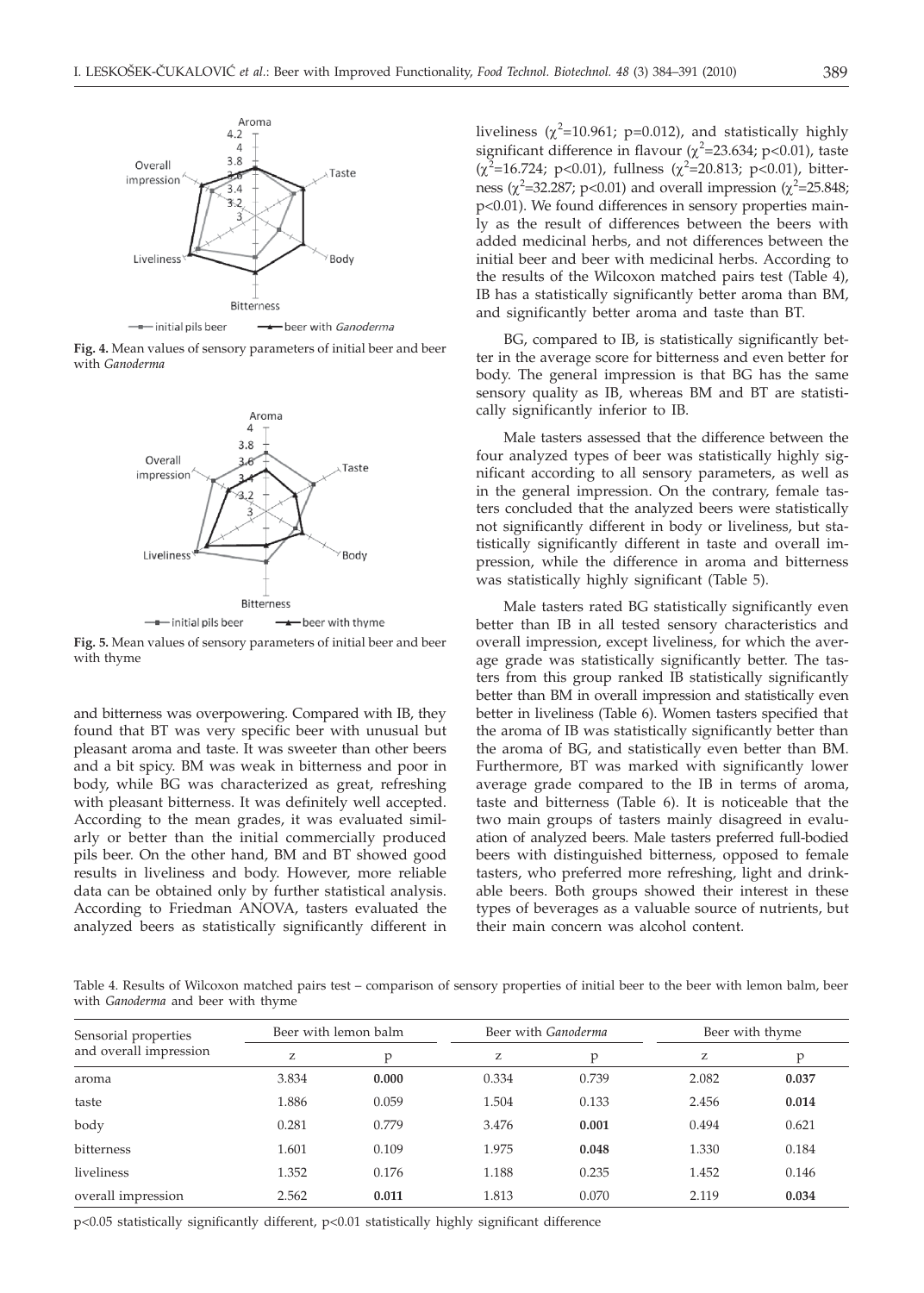

**Fig. 4.** Mean values of sensory parameters of initial beer and beer with *Ganoderma*



**Fig. 5.** Mean values of sensory parameters of initial beer and beer with thyme

and bitterness was overpowering. Compared with IB, they found that BT was very specific beer with unusual but pleasant aroma and taste. It was sweeter than other beers and a bit spicy. BM was weak in bitterness and poor in body, while BG was characterized as great, refreshing with pleasant bitterness. It was definitely well accepted. According to the mean grades, it was evaluated similarly or better than the initial commercially produced pils beer. On the other hand, BM and BT showed good results in liveliness and body. However, more reliable data can be obtained only by further statistical analysis. According to Friedman ANOVA, tasters evaluated the analyzed beers as statistically significantly different in

liveliness ( $\chi^2$ =10.961; p=0.012), and statistically highly<br>significant difference in flavour ( $\chi^2$ –23.634; p<0.01), taste significant difference in flavour  $(\chi^2 = 23.634; p < 0.01)$ , taste  $(\chi^2 = 16.724; p < 0.01)$ , fullposs  $(\chi^2 = 20.813; p < 0.01)$ , bittor  $(\chi^2 = 16.724; \, p < 0.01)$ , fullness  $(\chi^2 = 20.813; \, p < 0.01)$ , bitter-<br>poss  $(\chi^2 = 32.287; \, p < 0.01)$  and overall improssion  $(\chi^2 = 25.848;$ ness ( $\chi^2$ =32.287; p<0.01) and overall impression ( $\chi^2$ =25.848;<br>p<0.01) We found differences in sensory properties mainp<0.01). We found differences in sensory properties mainly as the result of differences between the beers with added medicinal herbs, and not differences between the initial beer and beer with medicinal herbs. According to the results of the Wilcoxon matched pairs test (Table 4), IB has a statistically significantly better aroma than BM, and significantly better aroma and taste than BT.

BG, compared to IB, is statistically significantly better in the average score for bitterness and even better for body. The general impression is that BG has the same sensory quality as IB, whereas BM and BT are statistically significantly inferior to IB.

Male tasters assessed that the difference between the four analyzed types of beer was statistically highly significant according to all sensory parameters, as well as in the general impression. On the contrary, female tasters concluded that the analyzed beers were statistically not significantly different in body or liveliness, but statistically significantly different in taste and overall impression, while the difference in aroma and bitterness was statistically highly significant (Table 5).

Male tasters rated BG statistically significantly even better than IB in all tested sensory characteristics and overall impression, except liveliness, for which the average grade was statistically significantly better. The tasters from this group ranked IB statistically significantly better than BM in overall impression and statistically even better in liveliness (Table 6). Women tasters specified that the aroma of IB was statistically significantly better than the aroma of BG, and statistically even better than BM. Furthermore, BT was marked with significantly lower average grade compared to the IB in terms of aroma, taste and bitterness (Table 6). It is noticeable that the two main groups of tasters mainly disagreed in evaluation of analyzed beers. Male tasters preferred full-bodied beers with distinguished bitterness, opposed to female tasters, who preferred more refreshing, light and drinkable beers. Both groups showed their interest in these types of beverages as a valuable source of nutrients, but their main concern was alcohol content.

Table 4. Results of Wilcoxon matched pairs test – comparison of sensory properties of initial beer to the beer with lemon balm, beer with *Ganoderma* and beer with thyme

| Sensorial properties   |       | Beer with lemon balm |       | Beer with Ganoderma | Beer with thyme |       |
|------------------------|-------|----------------------|-------|---------------------|-----------------|-------|
| and overall impression | Z     | p                    | Z     | p                   | z               | p     |
| aroma                  | 3.834 | 0.000                | 0.334 | 0.739               | 2.082           | 0.037 |
| taste                  | 1.886 | 0.059                | 1.504 | 0.133               | 2.456           | 0.014 |
| body                   | 0.281 | 0.779                | 3.476 | 0.001               | 0.494           | 0.621 |
| bitterness             | 1.601 | 0.109                | 1.975 | 0.048               | 1.330           | 0.184 |
| liveliness             | 1.352 | 0.176                | 1.188 | 0.235               | 1.452           | 0.146 |
| overall impression     | 2.562 | 0.011                | 1.813 | 0.070               | 2.119           | 0.034 |

p<0.05 statistically significantly different, p<0.01 statistically highly significant difference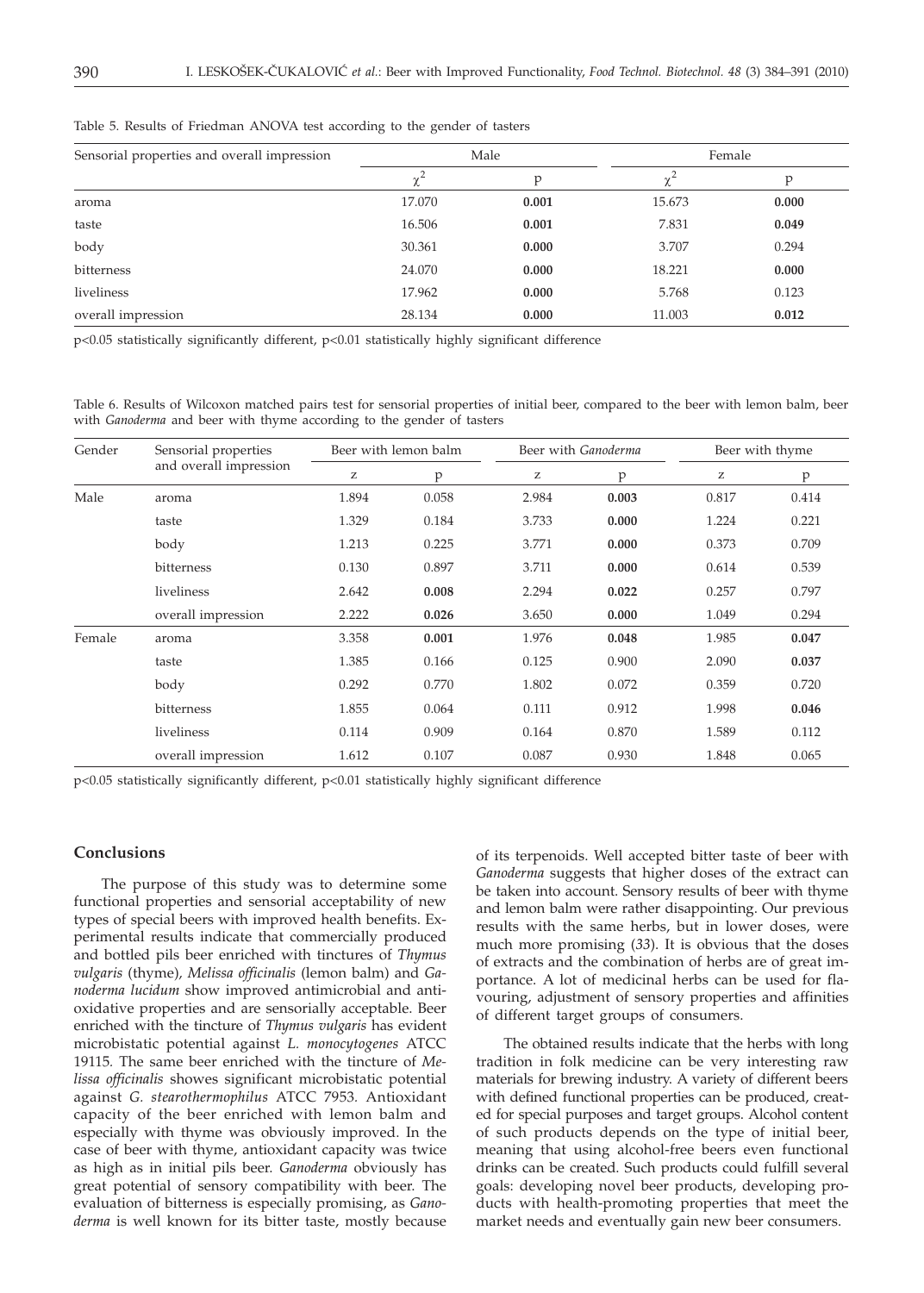| Sensorial properties and overall impression |            | Male  | Female |       |  |
|---------------------------------------------|------------|-------|--------|-------|--|
|                                             | $\gamma^2$ | D     | ⋏      | p     |  |
| aroma                                       | 17.070     | 0.001 | 15.673 | 0.000 |  |
| taste                                       | 16.506     | 0.001 | 7.831  | 0.049 |  |
| body                                        | 30.361     | 0.000 | 3.707  | 0.294 |  |
| bitterness                                  | 24.070     | 0.000 | 18.221 | 0.000 |  |
| liveliness                                  | 17.962     | 0.000 | 5.768  | 0.123 |  |
| overall impression                          | 28.134     | 0.000 | 11.003 | 0.012 |  |

Table 5. Results of Friedman ANOVA test according to the gender of tasters

p<0.05 statistically significantly different, p<0.01 statistically highly significant difference

Table 6. Results of Wilcoxon matched pairs test for sensorial properties of initial beer, compared to the beer with lemon balm, beer with *Ganoderma* and beer with thyme according to the gender of tasters

| Gender | Sensorial properties   | Beer with lemon balm |       | Beer with Ganoderma |       | Beer with thyme |       |
|--------|------------------------|----------------------|-------|---------------------|-------|-----------------|-------|
|        | and overall impression | z                    | p     | z                   | p     | Z               | p     |
| Male   | aroma                  | 1.894                | 0.058 | 2.984               | 0.003 | 0.817           | 0.414 |
|        | taste                  | 1.329                | 0.184 | 3.733               | 0.000 | 1.224           | 0.221 |
|        | body                   | 1.213                | 0.225 | 3.771               | 0.000 | 0.373           | 0.709 |
|        | bitterness             | 0.130                | 0.897 | 3.711               | 0.000 | 0.614           | 0.539 |
|        | liveliness             | 2.642                | 0.008 | 2.294               | 0.022 | 0.257           | 0.797 |
|        | overall impression     | 2.222                | 0.026 | 3.650               | 0.000 | 1.049           | 0.294 |
| Female | aroma                  | 3.358                | 0.001 | 1.976               | 0.048 | 1.985           | 0.047 |
|        | taste                  | 1.385                | 0.166 | 0.125               | 0.900 | 2.090           | 0.037 |
|        | body                   | 0.292                | 0.770 | 1.802               | 0.072 | 0.359           | 0.720 |
|        | bitterness             | 1.855                | 0.064 | 0.111               | 0.912 | 1.998           | 0.046 |
|        | liveliness             | 0.114                | 0.909 | 0.164               | 0.870 | 1.589           | 0.112 |
|        | overall impression     | 1.612                | 0.107 | 0.087               | 0.930 | 1.848           | 0.065 |

p<0.05 statistically significantly different, p<0.01 statistically highly significant difference

## **Conclusions**

The purpose of this study was to determine some functional properties and sensorial acceptability of new types of special beers with improved health benefits. Experimental results indicate that commercially produced and bottled pils beer enriched with tinctures of *Thymus vulgaris* (thyme)*, Melissa officinalis* (lemon balm) and *Ganoderma lucidum* show improved antimicrobial and antioxidative properties and are sensorially acceptable. Beer enriched with the tincture of *Thymus vulgaris* has evident microbistatic potential against *L. monocytogenes* ATCC 19115*.* The same beer enriched with the tincture of *Melissa officinalis* showes significant microbistatic potential against *G. stearothermophilus* ATCC 7953*.* Antioxidant capacity of the beer enriched with lemon balm and especially with thyme was obviously improved. In the case of beer with thyme, antioxidant capacity was twice as high as in initial pils beer. *Ganoderma* obviously has great potential of sensory compatibility with beer. The evaluation of bitterness is especially promising, as *Ganoderma* is well known for its bitter taste, mostly because

of its terpenoids. Well accepted bitter taste of beer with *Ganoderma* suggests that higher doses of the extract can be taken into account. Sensory results of beer with thyme and lemon balm were rather disappointing. Our previous results with the same herbs, but in lower doses, were much more promising (*33*). It is obvious that the doses of extracts and the combination of herbs are of great importance. A lot of medicinal herbs can be used for flavouring, adjustment of sensory properties and affinities of different target groups of consumers.

The obtained results indicate that the herbs with long tradition in folk medicine can be very interesting raw materials for brewing industry. A variety of different beers with defined functional properties can be produced, created for special purposes and target groups. Alcohol content of such products depends on the type of initial beer, meaning that using alcohol-free beers even functional drinks can be created. Such products could fulfill several goals: developing novel beer products, developing products with health-promoting properties that meet the market needs and eventually gain new beer consumers.